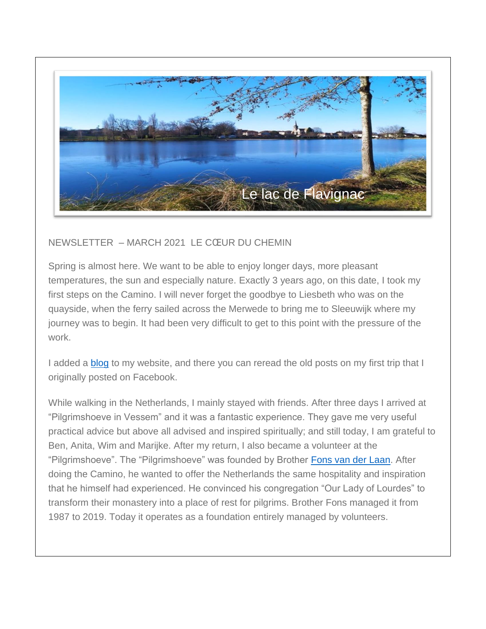

## NEWSLETTER – MARCH 2021 LE CŒUR DU CHEMIN

Spring is almost here. We want to be able to enjoy longer days, more pleasant temperatures, the sun and especially nature. Exactly 3 years ago, on this date, I took my first steps on the Camino. I will never forget the goodbye to Liesbeth who was on the quayside, when the ferry sailed across the Merwede to bring me to Sleeuwijk where my journey was to begin. It had been very difficult to get to this point with the pressure of the work.

I added a [blog](http://lecoeurduchemin.org/blog-and-news) to my website, and there you can reread the old posts on my first trip that I originally posted on Facebook.

While walking in the Netherlands, I mainly stayed with friends. After three days I arrived at "Pilgrimshoeve in Vessem" and it was a fantastic experience. They gave me very useful practical advice but above all advised and inspired spiritually; and still today, I am grateful to Ben, Anita, Wim and Marijke. After my return, I also became a volunteer at the "Pilgrimshoeve". The "Pilgrimshoeve" was founded by Brother [Fons van der Laan.](https://www.verhalenuitdekempen.nl/nl/fons-van-der-laan-gaat-het-rustiger-aan-doen) After doing the Camino, he wanted to offer the Netherlands the same hospitality and inspiration that he himself had experienced. He convinced his congregation "Our Lady of Lourdes" to transform their monastery into a place of rest for pilgrims. Brother Fons managed it from 1987 to 2019. Today it operates as a foundation entirely managed by volunteers.